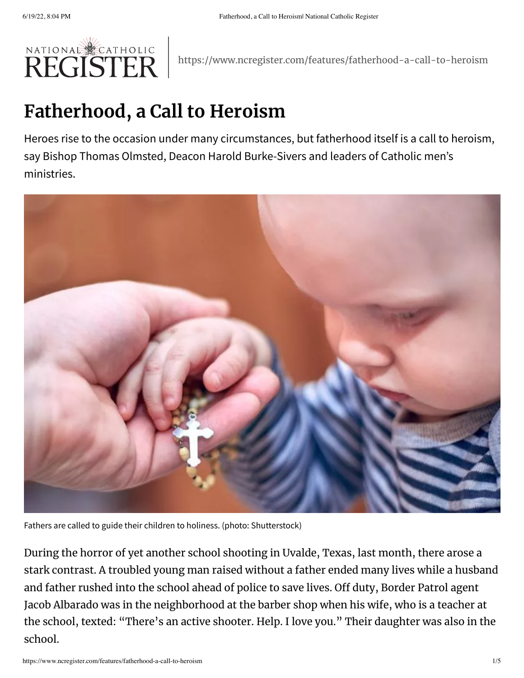

https://www.ncregister.com/features/fatherhood-a-call-to-heroism

## **Fatherhood, a Call to Heroism**

Heroes rise to the occasion under many circumstances, but fatherhood itself is a call to heroism, say Bishop Thomas Olmsted, Deacon Harold Burke-Sivers and leaders of Catholic men's ministries.



Fathers are called to guide their children to holiness. (photo: Shutterstock)

During the horror of yet another school shooting in Uvalde, Texas, last month, there arose a stark contrast. A troubled young man raised without a father ended many lives while a husband and father rushed into the school ahead of police to save lives. Off duty, Border Patrol agent Jacob Albarado was in the neighborhood at the barber shop when his wife, who is a teacher at the school, texted: "There's an active shooter. Help. I love you." Their daughter was also in the school.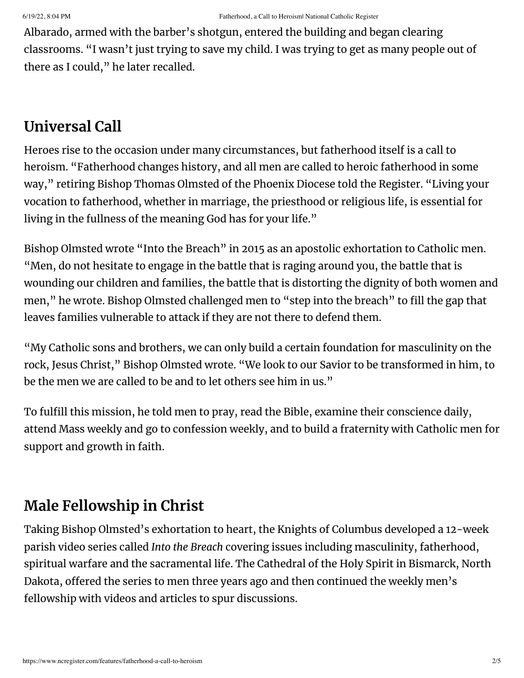Albarado, armed with the barber's shotgun, entered the building and began clearing classrooms. "I wasn't just trying to save my child. I was trying to get as many people out of there as I could," he later [recalled](https://nypost.com/2022/06/01/cbp-agent-jacob-albarado-recalls-chaos-after-rushing-into-uvalde-school-to-save-children/).

## **Universal Call**

Heroes rise to the occasion under many circumstances, but fatherhood itself is a call to heroism. "Fatherhood changes history, and all men are called to heroic fatherhood in some way," retiring Bishop Thomas Olmsted of the Phoenix Diocese told the Register. "Living your vocation to fatherhood, whether in marriage, the priesthood or religious life, is essential for living in the fullness of the meaning God has for your life."

Bishop Olmsted wrote "Into the [Breach"](https://www.ncregister.com/news/a-call-to-catholic-men-step-into-the-breach) in 2015 as an apostolic exhortation to Catholic men. "Men, do not hesitate to engage in the battle that is raging around you, the battle that is wounding our children and families, the battle that is distorting the dignity of both women and men," he wrote. Bishop Olmsted challenged men to "step into the breach" to fill the gap that leaves families vulnerable to attack if they are not there to defend them.

"My Catholic sons and brothers, we can only build a certain foundation for masculinity on the rock, Jesus Christ," Bishop Olmsted wrote. "We look to our Savior to be transformed in him, to be the men we are called to be and to let others see him in us."

To fulfill this mission, he told men to pray, read the Bible, examine their conscience daily, attend Mass weekly and go to confession weekly, and to build a fraternity with Catholic men for support and growth in faith.

## **Male Fellowship in Christ**

Taking Bishop Olmsted's exhortation to heart, the Knights of Columbus developed a 12-week parish video series called *Into the [Breach](https://www.kofc.org/en/campaigns/into-the-breach.html)* covering issues including masculinity, fatherhood, spiritual warfare and the sacramental life. The Cathedral of the Holy Spirit in Bismarck, North Dakota, offered the series to men three years ago and then continued the weekly men's fellowship with videos and articles to spur discussions.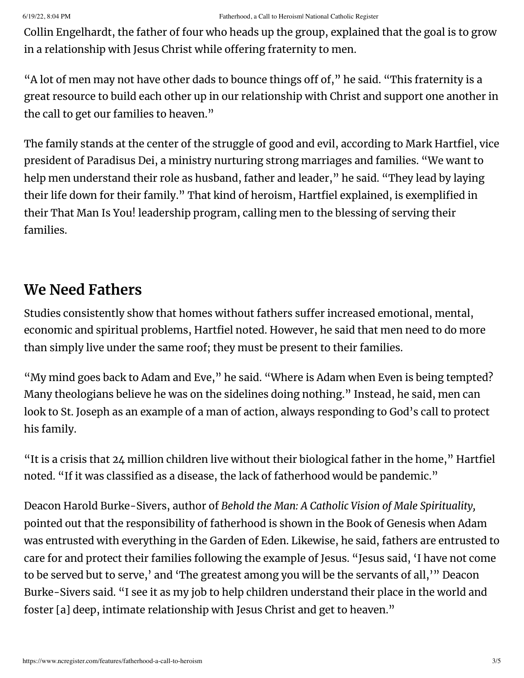Collin Engelhardt, the father of four who heads up the group, explained that the goal is to grow in a relationship with Jesus Christ while offering fraternity to men.

"A lot of men may not have other dads to bounce things off of," he said. "This fraternity is a great resource to build each other up in our relationship with Christ and support one another in the call to get our families to heaven."

The family stands at the center of the struggle of good and evil, according to Mark Hartfiel, vice president of [Paradisus](https://paradisusdei.org/about-us/) Dei, a ministry nurturing strong marriages and families. "We want to help men understand their role as husband, father and leader," he said. "They lead by laying their life down for their family." That kind of heroism, Hartfiel explained, is exemplified in their [That](https://paradisusdei.org/that-man-is-you/) Man Is You! leadership program, calling men to the blessing of serving their families.

## **We Need Fathers**

Studies consistently [show](https://fathers.com/statistics-and-research/the-consequences-of-fatherlessness/) that homes without fathers suffer increased emotional, mental, economic and spiritual problems, Hartfiel noted. However, he said that men need to do more than simply live under the same roof; they must be present to their [families.](https://www.youtube.com/watch?v=gza0eHz1snY)

"My mind goes back to Adam and Eve," he said. "Where is Adam when Even is being tempted? Many theologians believe he was on the sidelines doing nothing." Instead, he said, men can look to St. Joseph as an example of a man of action, always responding to God's call to protect his family.

"It is a crisis that 24 million children live without their [biological](http://www.rochesterareafatherhoodnetwork.org/statistics) father in the home," Hartfiel noted. "If it was classified as a disease, the lack of fatherhood would be pandemic."

Deacon Harold Burke-Sivers, author of *Behold the Man: A Catholic Vision of Male [Spirituality,](https://www.ewtnreligiouscatalogue.com/behold-the-man/p/BKSPI08871)* pointed out that the responsibility of fatherhood is shown in the Book of Genesis when Adam was entrusted with everything in the Garden of Eden. Likewise, he said, fathers are entrusted to care for and protect their families following the example of Jesus. "Jesus said, 'I have not come to be served but to serve,' and 'The greatest among you will be the servants of all,'" Deacon Burke-Sivers said. "I see it as my job to help children understand their place in the world and foster [a] deep, intimate relationship with Jesus Christ and get to heaven."